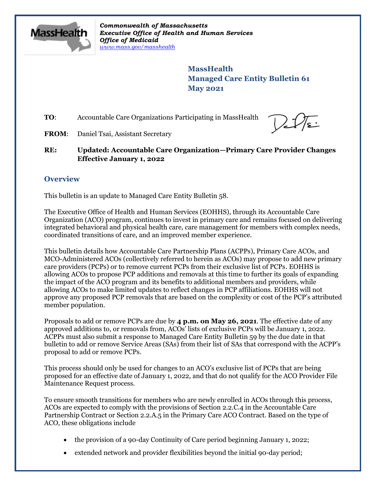

*Commonwealth of Massachusetts Executive Office of Health and Human Services Office of Medicaid [www.mass.gov/masshealth](http://www.mass.gov/masshealth)*

> **MassHealth Managed Care Entity Bulletin 61 May 2021**

**TO:** Accountable Care Organizations Participating in MassHealth



**FROM**: Daniel Tsai, Assistant Secretary

**RE: Updated: Accountable Care Organization—Primary Care Provider Changes Effective January 1, 2022**

# **Overview**

This bulletin is an update to Managed Care Entity Bulletin 58.

The Executive Office of Health and Human Services (EOHHS), through its Accountable Care Organization (ACO) program, continues to invest in primary care and remains focused on delivering integrated behavioral and physical health care, care management for members with complex needs, coordinated transitions of care, and an improved member experience.

This bulletin details how Accountable Care Partnership Plans (ACPPs), Primary Care ACOs, and MCO-Administered ACOs (collectively referred to herein as ACOs) may propose to add new primary care providers (PCPs) or to remove current PCPs from their exclusive list of PCPs. EOHHS is allowing ACOs to propose PCP additions and removals at this time to further its goals of expanding the impact of the ACO program and its benefits to additional members and providers, while allowing ACOs to make limited updates to reflect changes in PCP affiliations. EOHHS will not approve any proposed PCP removals that are based on the complexity or cost of the PCP's attributed member population.

Proposals to add or remove PCPs are due by **4 p.m. on May 26, 2021**. The effective date of any approved additions to, or removals from, ACOs' lists of exclusive PCPs will be January 1, 2022. ACPPs must also submit a response to Managed Care Entity Bulletin 59 by the due date in that bulletin to add or remove Service Areas (SAs) from their list of SAs that correspond with the ACPP's proposal to add or remove PCPs.

This process should only be used for changes to an ACO's exclusive list of PCPs that are being proposed for an effective date of January 1, 2022, and that do not qualify for the ACO Provider File Maintenance Request process.

To ensure smooth transitions for members who are newly enrolled in ACOs through this process, ACOs are expected to comply with the provisions of Section 2.2.C.4 in the Accountable Care Partnership Contract or Section 2.2.A.5 in the Primary Care ACO Contract. Based on the type of ACO, these obligations include

- the provision of a 90-day Continuity of Care period beginning January 1, 2022;
- extended network and provider flexibilities beyond the initial 90-day period;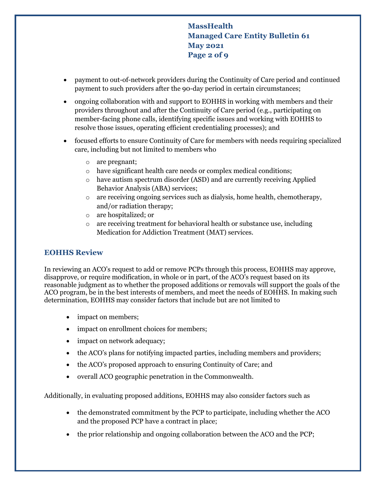**MassHealth Managed Care Entity Bulletin 61 May 2021 Page 2 of 9**

- payment to out-of-network providers during the Continuity of Care period and continued payment to such providers after the 90-day period in certain circumstances;
- ongoing collaboration with and support to EOHHS in working with members and their providers throughout and after the Continuity of Care period (e.g., participating on member-facing phone calls, identifying specific issues and working with EOHHS to resolve those issues, operating efficient credentialing processes); and
- focused efforts to ensure Continuity of Care for members with needs requiring specialized care, including but not limited to members who
	- o are pregnant;
	- o have significant health care needs or complex medical conditions;
	- o have autism spectrum disorder (ASD) and are currently receiving Applied Behavior Analysis (ABA) services;
	- o are receiving ongoing services such as dialysis, home health, chemotherapy, and/or radiation therapy;
	- o are hospitalized; or
	- o are receiving treatment for behavioral health or substance use, including Medication for Addiction Treatment (MAT) services.

## **EOHHS Review**

In reviewing an ACO's request to add or remove PCPs through this process, EOHHS may approve, disapprove, or require modification, in whole or in part, of the ACO's request based on its reasonable judgment as to whether the proposed additions or removals will support the goals of the ACO program, be in the best interests of members, and meet the needs of EOHHS. In making such determination, EOHHS may consider factors that include but are not limited to

- impact on members;
- impact on enrollment choices for members;
- impact on network adequacy;
- the ACO's plans for notifying impacted parties, including members and providers;
- the ACO's proposed approach to ensuring Continuity of Care; and
- overall ACO geographic penetration in the Commonwealth.

Additionally, in evaluating proposed additions, EOHHS may also consider factors such as

- the demonstrated commitment by the PCP to participate, including whether the ACO and the proposed PCP have a contract in place;
- the prior relationship and ongoing collaboration between the ACO and the PCP;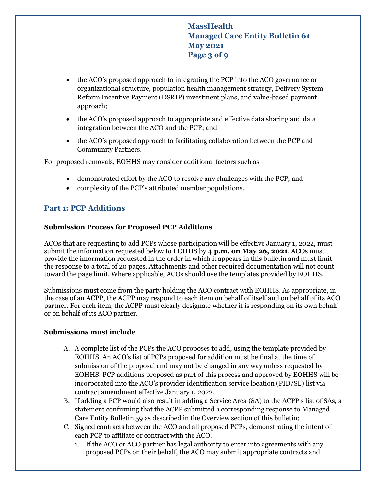**MassHealth Managed Care Entity Bulletin 61 May 2021 Page 3 of 9**

- the ACO's proposed approach to integrating the PCP into the ACO governance or organizational structure, population health management strategy, Delivery System Reform Incentive Payment (DSRIP) investment plans, and value-based payment approach;
- the ACO's proposed approach to appropriate and effective data sharing and data integration between the ACO and the PCP; and
- the ACO's proposed approach to facilitating collaboration between the PCP and Community Partners.

For proposed removals, EOHHS may consider additional factors such as

- demonstrated effort by the ACO to resolve any challenges with the PCP; and
- complexity of the PCP's attributed member populations.

## **Part 1: PCP Additions**

#### **Submission Process for Proposed PCP Additions**

ACOs that are requesting to add PCPs whose participation will be effective January 1, 2022, must submit the information requested below to EOHHS by **4 p.m. on May 26, 2021**. ACOs must provide the information requested in the order in which it appears in this bulletin and must limit the response to a total of 20 pages. Attachments and other required documentation will not count toward the page limit. Where applicable, ACOs should use the templates provided by EOHHS.

Submissions must come from the party holding the ACO contract with EOHHS. As appropriate, in the case of an ACPP, the ACPP may respond to each item on behalf of itself and on behalf of its ACO partner. For each item, the ACPP must clearly designate whether it is responding on its own behalf or on behalf of its ACO partner.

#### **Submissions must include**

- A. A complete list of the PCPs the ACO proposes to add, using the template provided by EOHHS. An ACO's list of PCPs proposed for addition must be final at the time of submission of the proposal and may not be changed in any way unless requested by EOHHS. PCP additions proposed as part of this process and approved by EOHHS will be incorporated into the ACO's provider identification service location (PID/SL) list via contract amendment effective January 1, 2022.
- B. If adding a PCP would also result in adding a Service Area (SA) to the ACPP's list of SAs, a statement confirming that the ACPP submitted a corresponding response to Managed Care Entity Bulletin 59 as described in the Overview section of this bulletin;
- C. Signed contracts between the ACO and all proposed PCPs, demonstrating the intent of each PCP to affiliate or contract with the ACO.
	- 1. If the ACO or ACO partner has legal authority to enter into agreements with any proposed PCPs on their behalf, the ACO may submit appropriate contracts and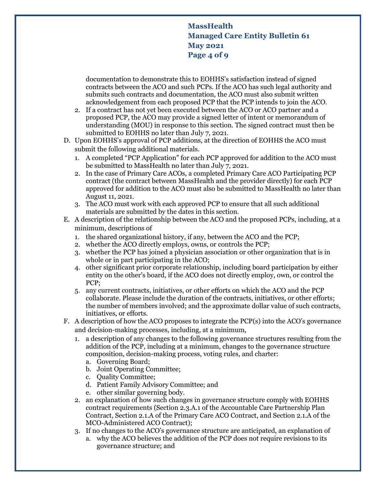**MassHealth Managed Care Entity Bulletin 61 May 2021 Page 4 of 9**

documentation to demonstrate this to EOHHS's satisfaction instead of signed contracts between the ACO and such PCPs. If the ACO has such legal authority and submits such contracts and documentation, the ACO must also submit written acknowledgement from each proposed PCP that the PCP intends to join the ACO.

- 2. If a contract has not yet been executed between the ACO or ACO partner and a proposed PCP, the ACO may provide a signed letter of intent or memorandum of understanding (MOU) in response to this section. The signed contract must then be submitted to EOHHS no later than July 7, 2021.
- D. Upon EOHHS's approval of PCP additions, at the direction of EOHHS the ACO must submit the following additional materials.
	- 1. A completed "PCP Application" for each PCP approved for addition to the ACO must be submitted to MassHealth no later than July 7, 2021.
	- 2. In the case of Primary Care ACOs, a completed Primary Care ACO Participating PCP contract (the contract between MassHealth and the provider directly) for each PCP approved for addition to the ACO must also be submitted to MassHealth no later than August 11, 2021.
	- 3. The ACO must work with each approved PCP to ensure that all such additional materials are submitted by the dates in this section.
- E. A description of the relationship between the ACO and the proposed PCPs, including, at a minimum, descriptions of
	- 1. the shared organizational history, if any, between the ACO and the PCP;
	- 2. whether the ACO directly employs, owns, or controls the PCP;
	- 3. whether the PCP has joined a physician association or other organization that is in whole or in part participating in the ACO;
	- 4. other significant prior corporate relationship, including board participation by either entity on the other's board, if the ACO does not directly employ, own, or control the PCP;
	- 5. any current contracts, initiatives, or other efforts on which the ACO and the PCP collaborate. Please include the duration of the contracts, initiatives, or other efforts; the number of members involved; and the approximate dollar value of such contracts, initiatives, or efforts.
- F. A description of how the ACO proposes to integrate the PCP(s) into the ACO's governance and decision-making processes, including, at a minimum,
	- 1. a description of any changes to the following governance structures resulting from the addition of the PCP, including at a minimum, changes to the governance structure composition, decision-making process, voting rules, and charter:
		- a. Governing Board;
		- b. Joint Operating Committee;
		- c. Quality Committee;
		- d. Patient Family Advisory Committee; and
		- e. other similar governing body.
	- 2. an explanation of how such changes in governance structure comply with EOHHS contract requirements (Section 2.3.A.1 of the Accountable Care Partnership Plan Contract, Section 2.1.A of the Primary Care ACO Contract, and Section 2.1.A of the MCO-Administered ACO Contract);
	- 3. If no changes to the ACO's governance structure are anticipated, an explanation of
		- a. why the ACO believes the addition of the PCP does not require revisions to its governance structure; and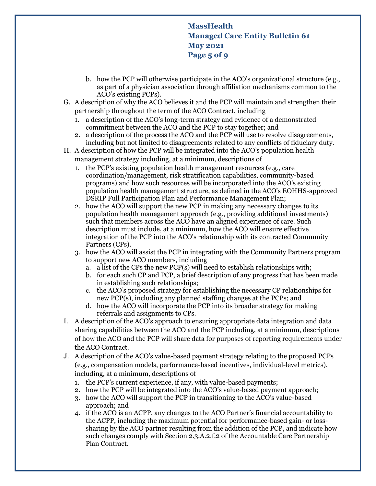# **MassHealth Managed Care Entity Bulletin 61 May 2021 Page 5 of 9**

- b. how the PCP will otherwise participate in the ACO's organizational structure (e.g., as part of a physician association through affiliation mechanisms common to the ACO's existing PCPs).
- G. A description of why the ACO believes it and the PCP will maintain and strengthen their partnership throughout the term of the ACO Contract, including
	- 1. a description of the ACO's long-term strategy and evidence of a demonstrated commitment between the ACO and the PCP to stay together; and
	- 2. a description of the process the ACO and the PCP will use to resolve disagreements, including but not limited to disagreements related to any conflicts of fiduciary duty.
- H. A description of how the PCP will be integrated into the ACO's population health management strategy including, at a minimum, descriptions of
	- 1. the PCP's existing population health management resources (e.g., care coordination/management, risk stratification capabilities, community-based programs) and how such resources will be incorporated into the ACO's existing population health management structure, as defined in the ACO's EOHHS-approved DSRIP Full Participation Plan and Performance Management Plan;
	- 2. how the ACO will support the new PCP in making any necessary changes to its population health management approach (e.g., providing additional investments) such that members across the ACO have an aligned experience of care. Such description must include, at a minimum, how the ACO will ensure effective integration of the PCP into the ACO's relationship with its contracted Community Partners (CPs).
	- 3. how the ACO will assist the PCP in integrating with the Community Partners program to support new ACO members, including
		- a. a list of the CPs the new PCP(s) will need to establish relationships with;
		- b. for each such CP and PCP, a brief description of any progress that has been made in establishing such relationships;
		- c. the ACO's proposed strategy for establishing the necessary CP relationships for new PCP(s), including any planned staffing changes at the PCPs; and
		- d. how the ACO will incorporate the PCP into its broader strategy for making referrals and assignments to CPs.
- I. A description of the ACO's approach to ensuring appropriate data integration and data sharing capabilities between the ACO and the PCP including, at a minimum, descriptions of how the ACO and the PCP will share data for purposes of reporting requirements under the ACO Contract.
- J. A description of the ACO's value-based payment strategy relating to the proposed PCPs (e.g., compensation models, performance-based incentives, individual-level metrics), including, at a minimum, descriptions of
	- 1. the PCP's current experience, if any, with value-based payments;
	- 2. how the PCP will be integrated into the ACO's value-based payment approach;
	- 3. how the ACO will support the PCP in transitioning to the ACO's value-based approach; and
	- 4. if the ACO is an ACPP, any changes to the ACO Partner's financial accountability to the ACPP, including the maximum potential for performance-based gain- or losssharing by the ACO partner resulting from the addition of the PCP, and indicate how such changes comply with Section 2.3.A.2.f.2 of the Accountable Care Partnership Plan Contract.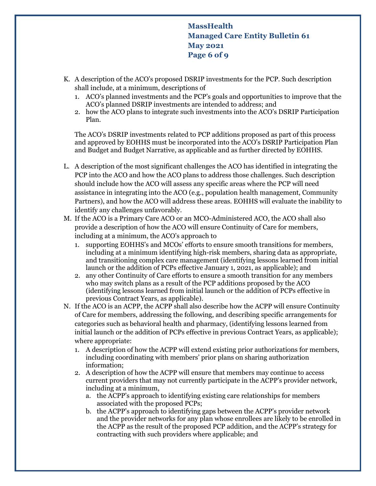**MassHealth Managed Care Entity Bulletin 61 May 2021 Page 6 of 9**

- K. A description of the ACO's proposed DSRIP investments for the PCP. Such description shall include, at a minimum, descriptions of
	- 1. ACO's planned investments and the PCP's goals and opportunities to improve that the ACO's planned DSRIP investments are intended to address; and
	- 2. how the ACO plans to integrate such investments into the ACO's DSRIP Participation Plan.

The ACO's DSRIP investments related to PCP additions proposed as part of this process and approved by EOHHS must be incorporated into the ACO's DSRIP Participation Plan and Budget and Budget Narrative, as applicable and as further directed by EOHHS.

- L. A description of the most significant challenges the ACO has identified in integrating the PCP into the ACO and how the ACO plans to address those challenges. Such description should include how the ACO will assess any specific areas where the PCP will need assistance in integrating into the ACO (e.g., population health management, Community Partners), and how the ACO will address these areas. EOHHS will evaluate the inability to identify any challenges unfavorably.
- M. If the ACO is a Primary Care ACO or an MCO-Administered ACO, the ACO shall also provide a description of how the ACO will ensure Continuity of Care for members, including at a minimum, the ACO's approach to
	- 1. supporting EOHHS's and MCOs' efforts to ensure smooth transitions for members, including at a minimum identifying high-risk members, sharing data as appropriate, and transitioning complex care management (identifying lessons learned from initial launch or the addition of PCPs effective January 1, 2021, as applicable); and
	- 2. any other Continuity of Care efforts to ensure a smooth transition for any members who may switch plans as a result of the PCP additions proposed by the ACO (identifying lessons learned from initial launch or the addition of PCPs effective in previous Contract Years, as applicable).
- N. If the ACO is an ACPP, the ACPP shall also describe how the ACPP will ensure Continuity of Care for members, addressing the following, and describing specific arrangements for categories such as behavioral health and pharmacy, (identifying lessons learned from initial launch or the addition of PCPs effective in previous Contract Years, as applicable); where appropriate:
	- 1. A description of how the ACPP will extend existing prior authorizations for members, including coordinating with members' prior plans on sharing authorization information;
	- 2. A description of how the ACPP will ensure that members may continue to access current providers that may not currently participate in the ACPP's provider network, including at a minimum,
		- a. the ACPP's approach to identifying existing care relationships for members associated with the proposed PCPs;
		- b. the ACPP's approach to identifying gaps between the ACPP's provider network and the provider networks for any plan whose enrollees are likely to be enrolled in the ACPP as the result of the proposed PCP addition, and the ACPP's strategy for contracting with such providers where applicable; and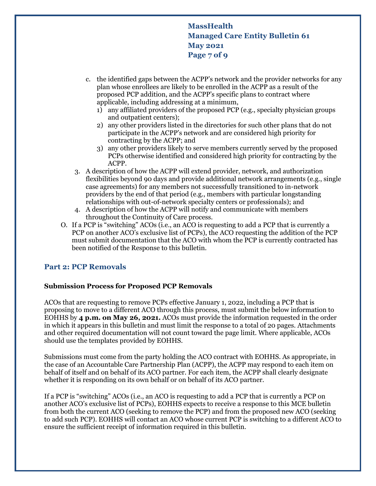**MassHealth Managed Care Entity Bulletin 61 May 2021 Page 7 of 9**

- c. the identified gaps between the ACPP's network and the provider networks for any plan whose enrollees are likely to be enrolled in the ACPP as a result of the proposed PCP addition, and the ACPP's specific plans to contract where applicable, including addressing at a minimum,
	- 1) any affiliated providers of the proposed PCP (e.g., specialty physician groups and outpatient centers);
	- 2) any other providers listed in the directories for such other plans that do not participate in the ACPP's network and are considered high priority for contracting by the ACPP; and
	- 3) any other providers likely to serve members currently served by the proposed PCPs otherwise identified and considered high priority for contracting by the ACPP.
- 3. A description of how the ACPP will extend provider, network, and authorization flexibilities beyond 90 days and provide additional network arrangements (e.g., single case agreements) for any members not successfully transitioned to in-network providers by the end of that period (e.g., members with particular longstanding relationships with out-of-network specialty centers or professionals); and
- 4. A description of how the ACPP will notify and communicate with members throughout the Continuity of Care process.
- O. If a PCP is "switching" ACOs (i.e., an ACO is requesting to add a PCP that is currently a PCP on another ACO's exclusive list of PCPs), the ACO requesting the addition of the PCP must submit documentation that the ACO with whom the PCP is currently contracted has been notified of the Response to this bulletin.

## **Part 2: PCP Removals**

#### **Submission Process for Proposed PCP Removals**

ACOs that are requesting to remove PCPs effective January 1, 2022, including a PCP that is proposing to move to a different ACO through this process, must submit the below information to EOHHS by **4 p.m. on May 26, 2021.** ACOs must provide the information requested in the order in which it appears in this bulletin and must limit the response to a total of 20 pages. Attachments and other required documentation will not count toward the page limit. Where applicable, ACOs should use the templates provided by EOHHS.

Submissions must come from the party holding the ACO contract with EOHHS. As appropriate, in the case of an Accountable Care Partnership Plan (ACPP), the ACPP may respond to each item on behalf of itself and on behalf of its ACO partner. For each item, the ACPP shall clearly designate whether it is responding on its own behalf or on behalf of its ACO partner.

If a PCP is "switching" ACOs (i.e., an ACO is requesting to add a PCP that is currently a PCP on another ACO's exclusive list of PCPs), EOHHS expects to receive a response to this MCE bulletin from both the current ACO (seeking to remove the PCP) and from the proposed new ACO (seeking to add such PCP). EOHHS will contact an ACO whose current PCP is switching to a different ACO to ensure the sufficient receipt of information required in this bulletin.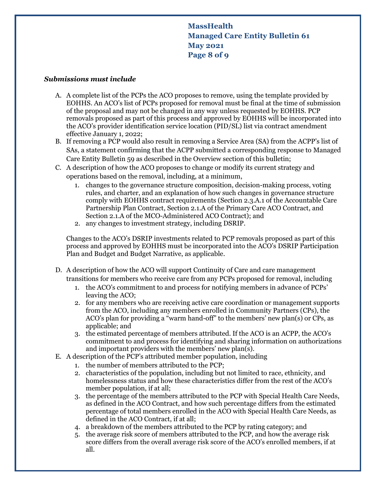# **MassHealth Managed Care Entity Bulletin 61 May 2021 Page 8 of 9**

#### *Submissions must include*

- A. A complete list of the PCPs the ACO proposes to remove, using the template provided by EOHHS. An ACO's list of PCPs proposed for removal must be final at the time of submission of the proposal and may not be changed in any way unless requested by EOHHS. PCP removals proposed as part of this process and approved by EOHHS will be incorporated into the ACO's provider identification service location (PID/SL) list via contract amendment effective January 1, 2022;
- B. If removing a PCP would also result in removing a Service Area (SA) from the ACPP's list of SAs, a statement confirming that the ACPP submitted a corresponding response to Managed Care Entity Bulletin 59 as described in the Overview section of this bulletin;
- C. A description of how the ACO proposes to change or modify its current strategy and operations based on the removal, including, at a minimum,
	- 1. changes to the governance structure composition, decision-making process, voting rules, and charter, and an explanation of how such changes in governance structure comply with EOHHS contract requirements (Section 2.3.A.1 of the Accountable Care Partnership Plan Contract, Section 2.1.A of the Primary Care ACO Contract, and Section 2.1.A of the MCO-Administered ACO Contract); and
	- 2. any changes to investment strategy, including DSRIP.

Changes to the ACO's DSRIP investments related to PCP removals proposed as part of this process and approved by EOHHS must be incorporated into the ACO's DSRIP Participation Plan and Budget and Budget Narrative, as applicable.

- D. A description of how the ACO will support Continuity of Care and care management transitions for members who receive care from any PCPs proposed for removal, including
	- 1. the ACO's commitment to and process for notifying members in advance of PCPs' leaving the ACO;
	- 2. for any members who are receiving active care coordination or management supports from the ACO, including any members enrolled in Community Partners (CPs), the ACO's plan for providing a "warm hand-off" to the members' new plan(s) or CPs, as applicable; and
	- 3. the estimated percentage of members attributed. If the ACO is an ACPP, the ACO's commitment to and process for identifying and sharing information on authorizations and important providers with the members' new plan(s).
- E. A description of the PCP's attributed member population, including
	- 1. the number of members attributed to the PCP;
	- 2. characteristics of the population, including but not limited to race, ethnicity, and homelessness status and how these characteristics differ from the rest of the ACO's member population, if at all;
	- 3. the percentage of the members attributed to the PCP with Special Health Care Needs, as defined in the ACO Contract, and how such percentage differs from the estimated percentage of total members enrolled in the ACO with Special Health Care Needs, as defined in the ACO Contract, if at all;
	- 4. a breakdown of the members attributed to the PCP by rating category; and
	- 5. the average risk score of members attributed to the PCP, and how the average risk score differs from the overall average risk score of the ACO's enrolled members, if at all.